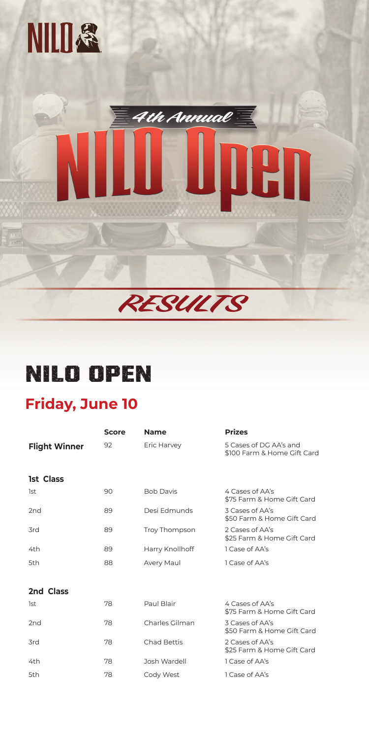## **NILO OPEN**

## **Friday, June 10**

|                      | <b>Score</b> | <b>Name</b>          | <b>Prizes</b>                                         |
|----------------------|--------------|----------------------|-------------------------------------------------------|
| <b>Flight Winner</b> | 92           | Eric Harvey          | 5 Cases of DG AA's and<br>\$100 Farm & Home Gift Card |
| <b>1st Class</b>     |              |                      |                                                       |
| 1st                  | 90           | <b>Bob Davis</b>     | 4 Cases of AA's<br>\$75 Farm & Home Gift Card         |
| 2 <sub>nd</sub>      | 89           | Desi Edmunds         | 3 Cases of AA's<br>\$50 Farm & Home Gift Card         |
| 3rd                  | 89           | <b>Troy Thompson</b> | 2 Cases of AA's<br>\$25 Farm & Home Gift Card         |

| 4th       | 89 | Harry Knollhoff    | 1 Case of AA's                                |
|-----------|----|--------------------|-----------------------------------------------|
| 5th       | 88 | <b>Avery Maul</b>  | 1 Case of AA's                                |
|           |    |                    |                                               |
| 2nd Class |    |                    |                                               |
| 1st       | 78 | Paul Blair         | 4 Cases of AA's<br>\$75 Farm & Home Gift Card |
| 2nd       | 78 | Charles Gilman     | 3 Cases of AA's<br>\$50 Farm & Home Gift Card |
| 3rd       | 78 | <b>Chad Bettis</b> | 2 Cases of AA's<br>\$25 Farm & Home Gift Card |
| 4th       | 78 | Josh Wardell       | 1 Case of AA's                                |
| 5th       | 78 | Cody West          | 1 Case of AA's                                |





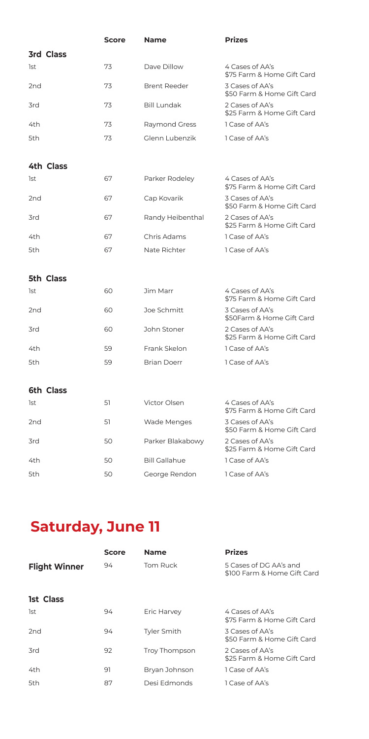## **Saturday, June 11**

|                 |                  | <b>Score</b> | <b>Name</b>          | <b>Prizes</b>                                 |
|-----------------|------------------|--------------|----------------------|-----------------------------------------------|
|                 | <b>3rd Class</b> |              |                      |                                               |
| 1st             |                  | 73           | Dave Dillow          | 4 Cases of AA's<br>\$75 Farm & Home Gift Card |
| 2 <sub>nd</sub> |                  | 73           | <b>Brent Reeder</b>  | 3 Cases of AA's<br>\$50 Farm & Home Gift Card |
| 3rd             |                  | 73           | <b>Bill Lundak</b>   | 2 Cases of AA's<br>\$25 Farm & Home Gift Card |
| 4th             |                  | 73           | Raymond Gress        | 1 Case of AA's                                |
| 5th             |                  | 73           | Glenn Lubenzik       | 1 Case of AA's                                |
|                 | <b>4th Class</b> |              |                      |                                               |
| 1st             |                  | 67           | Parker Rodeley       | 4 Cases of AA's<br>\$75 Farm & Home Gift Card |
| 2 <sub>nd</sub> |                  | 67           | Cap Kovarik          | 3 Cases of AA's<br>\$50 Farm & Home Gift Card |
| 3rd             |                  | 67           | Randy Heibenthal     | 2 Cases of AA's<br>\$25 Farm & Home Gift Card |
| 4th             |                  | 67           | Chris Adams          | 1 Case of AA's                                |
| 5th             |                  | 67           | Nate Richter         | 1 Case of AA's                                |
|                 | <b>5th Class</b> |              |                      |                                               |
| 1st             |                  | 60           | Jim Marr             | 4 Cases of AA's<br>\$75 Farm & Home Gift Card |
| 2 <sub>nd</sub> |                  | 60           | Joe Schmitt          | 3 Cases of AA's<br>\$50Farm & Home Gift Card  |
| 3rd             |                  | 60           | John Stoner          | 2 Cases of AA's<br>\$25 Farm & Home Gift Card |
| 4th             |                  | 59           | Frank Skelon         | 1 Case of AA's                                |
| 5th             |                  | 59           | <b>Brian Doerr</b>   | 1 Case of AA's                                |
|                 | <b>6th Class</b> |              |                      |                                               |
| 1st             |                  | 51           | Victor Olsen         | 4 Cases of AA's<br>\$75 Farm & Home Gift Card |
| 2 <sub>nd</sub> |                  | 51           | Wade Menges          | 3 Cases of AA's<br>\$50 Farm & Home Gift Card |
| 3rd             |                  | 50           | Parker Blakabowy     | 2 Cases of AA's<br>\$25 Farm & Home Gift Card |
| 4th             |                  | 50           | <b>Bill Gallahue</b> | 1 Case of AA's                                |
| 5th             |                  | 50           | George Rendon        | 1 Case of AA's                                |

|                      | <b>Score</b> | <b>Name</b>        | <b>Prizes</b>                                         |
|----------------------|--------------|--------------------|-------------------------------------------------------|
| <b>Flight Winner</b> | 94           | <b>Tom Ruck</b>    | 5 Cases of DG AA's and<br>\$100 Farm & Home Gift Card |
| <b>1st Class</b>     |              |                    |                                                       |
| 1st                  | 94           | Eric Harvey        | 4 Cases of AA's<br>\$75 Farm & Home Gift Card         |
| 2 <sub>nd</sub>      | 94           | <b>Tyler Smith</b> | 3 Cases of AA's<br>\$50 Farm & Home Gift Card         |
| 3rd                  | 92           | Troy Thompson      | 2 Cases of AA's<br>\$25 Farm & Home Gift Card         |
| 4th                  | 91           | Bryan Johnson      | 1 Case of AA's                                        |
| 5th                  | 87           | Desi Edmonds       | 1 Case of AA's                                        |